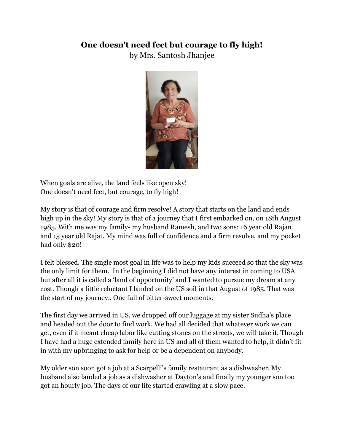## **One doesn't need feet but courage to fly high!**

by Mrs. Santosh Jhanjee



When goals are alive, the land feels like open sky! One doesn't need feet, but courage, to fly high!

My story is that of courage and firm resolve! A story that starts on the land and ends high up in the sky! My story is that of a journey that I first embarked on, on 18th August 1985. With me was my family- my husband Ramesh, and two sons: 16 year old Rajan and 15 year old Rajat. My mind was full of confidence and a firm resolve, and my pocket had only \$20!

I felt blessed. The single most goal in life was to help my kids succeed so that the sky was the only limit for them. In the beginning I did not have any interest in coming to USA but after all it is called a 'land of opportunity' and I wanted to pursue my dream at any cost. Though a little reluctant I landed on the US soil in that August of 1985. That was the start of my journey.. One full of bitter-sweet moments.

The first day we arrived in US, we dropped off our luggage at my sister Sudha's place and headed out the door to find work. We had all decided that whatever work we can get, even if it meant cheap labor like cutting stones on the streets, we will take it. Though I have had a huge extended family here in US and all of them wanted to help, it didn't fit in with my upbringing to ask for help or be a dependent on anybody.

My older son soon got a job at a Scarpelli's family restaurant as a dishwasher. My husband also landed a job as a dishwasher at Dayton's and finally my younger son too got an hourly job. The days of our life started crawling at a slow pace.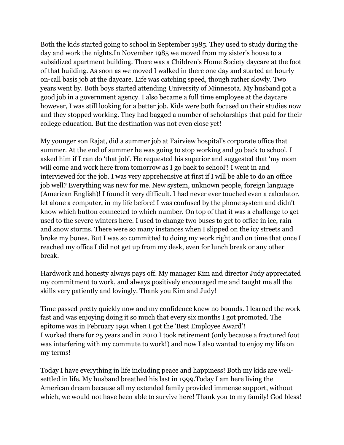Both the kids started going to school in September 1985. They used to study during the day and work the nights.In November 1985 we moved from my sister's house to a subsidized apartment building. There was a Children's Home Society daycare at the foot of that building. As soon as we moved I walked in there one day and started an hourly on-call basis job at the daycare. Life was catching speed, though rather slowly. Two years went by. Both boys started attending University of Minnesota. My husband got a good job in a government agency. I also became a full time employee at the daycare however, I was still looking for a better job. Kids were both focused on their studies now and they stopped working. They had bagged a number of scholarships that paid for their college education. But the destination was not even close yet!

My younger son Rajat, did a summer job at Fairview hospital's corporate office that summer. At the end of summer he was going to stop working and go back to school. I asked him if I can do 'that job'. He requested his superior and suggested that 'my mom will come and work here from tomorrow as I go back to school'! I went in and interviewed for the job. I was very apprehensive at first if I will be able to do an office job well? Everything was new for me. New system, unknown people, foreign language (American English)! I found it very difficult. I had never ever touched even a calculator, let alone a computer, in my life before! I was confused by the phone system and didn't know which button connected to which number. On top of that it was a challenge to get used to the severe winters here. I used to change two buses to get to office in ice, rain and snow storms. There were so many instances when I slipped on the icy streets and broke my bones. But I was so committed to doing my work right and on time that once I reached my office I did not get up from my desk, even for lunch break or any other break.

Hardwork and honesty always pays off. My manager Kim and director Judy appreciated my commitment to work, and always positively encouraged me and taught me all the skills very patiently and lovingly. Thank you Kim and Judy!

Time passed pretty quickly now and my confidence knew no bounds. I learned the work fast and was enjoying doing it so much that every six months I got promoted. The epitome was in February 1991 when I got the 'Best Employee Award'! I worked there for 25 years and in 2010 I took retirement (only because a fractured foot was interfering with my commute to work!) and now I also wanted to enjoy my life on my terms!

Today I have everything in life including peace and happiness! Both my kids are wellsettled in life. My husband breathed his last in 1999.Today I am here living the American dream because all my extended family provided immense support, without which, we would not have been able to survive here! Thank you to my family! God bless!